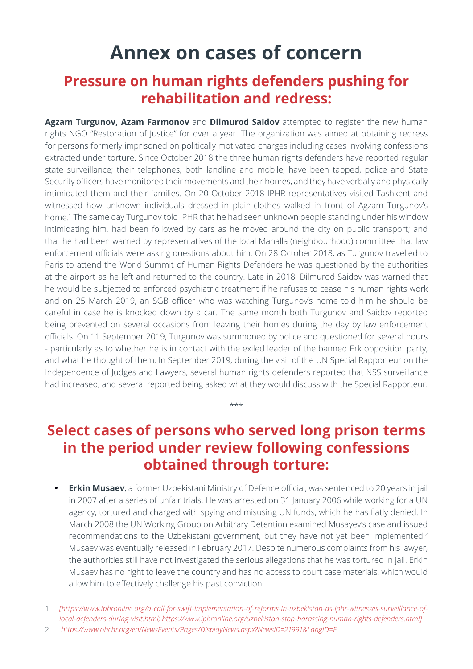# **Annex on cases of concern**

# **Pressure on human rights defenders pushing for rehabilitation and redress:**

**Agzam Turgunov, Azam Farmonov** and **Dilmurod Saidov** attempted to register the new human rights NGO "Restoration of Justice" for over a year. The organization was aimed at obtaining redress for persons formerly imprisoned on politically motivated charges including cases involving confessions extracted under torture. Since October 2018 the three human rights defenders have reported regular state surveillance; their telephones, both landline and mobile, have been tapped, police and State Security officers have monitored their movements and their homes, and they have verbally and physically intimidated them and their families. On 20 October 2018 IPHR representatives visited Tashkent and witnessed how unknown individuals dressed in plain-clothes walked in front of Agzam Turgunov's home.1 The same day Turgunov told IPHR that he had seen unknown people standing under his window intimidating him, had been followed by cars as he moved around the city on public transport; and that he had been warned by representatives of the local Mahalla (neighbourhood) committee that law enforcement officials were asking questions about him. On 28 October 2018, as Turgunov travelled to Paris to attend the World Summit of Human Rights Defenders he was questioned by the authorities at the airport as he left and returned to the country. Late in 2018, Dilmurod Saidov was warned that he would be subjected to enforced psychiatric treatment if he refuses to cease his human rights work and on 25 March 2019, an SGB officer who was watching Turgunov's home told him he should be careful in case he is knocked down by a car. The same month both Turgunov and Saidov reported being prevented on several occasions from leaving their homes during the day by law enforcement officials. On 11 September 2019, Turgunov was summoned by police and questioned for several hours - particularly as to whether he is in contact with the exiled leader of the banned Erk opposition party, and what he thought of them. In September 2019, during the visit of the UN Special Rapporteur on the Independence of Judges and Lawyers, several human rights defenders reported that NSS surveillance had increased, and several reported being asked what they would discuss with the Special Rapporteur.

# **Select cases of persons who served long prison terms in the period under review following confessions obtained through torture:**

\*\*\*

**Erkin Musaev**, a former Uzbekistani Ministry of Defence official, was sentenced to 20 years in jail in 2007 after a series of unfair trials. He was arrested on 31 January 2006 while working for a UN agency, tortured and charged with spying and misusing UN funds, which he has flatly denied. In March 2008 the UN Working Group on Arbitrary Detention examined Musayev's case and issued recommendations to the Uzbekistani government, but they have not yet been implemented.<sup>2</sup> Musaev was eventually released in February 2017. Despite numerous complaints from his lawyer, the authorities still have not investigated the serious allegations that he was tortured in jail. Erkin Musaev has no right to leave the country and has no access to court case materials, which would allow him to effectively challenge his past conviction.

<sup>1</sup> *[https://www.iphronline.org/a-call-for-swift-implementation-of-reforms-in-uzbekistan-as-iphr-witnesses-surveillance-oflocal-defenders-during-visit.html; https://www.iphronline.org/uzbekistan-stop-harassing-human-rights-defenders.html]*

<sup>2</sup> *<https://www.ohchr.org/en/NewsEvents/Pages/DisplayNews.aspx?NewsID=21991&LangID=E>*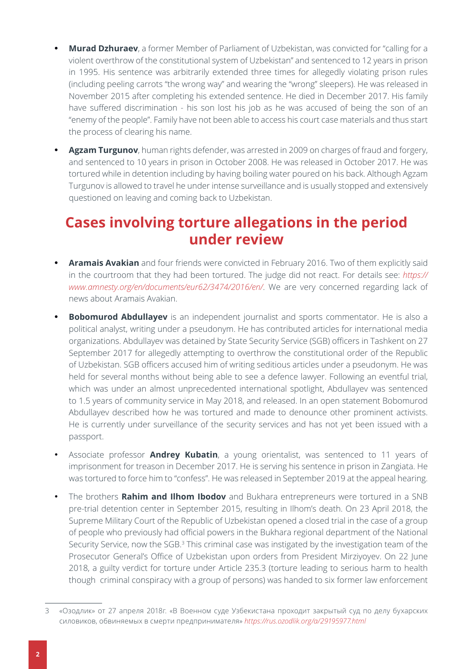- **• Murad Dzhuraev**, a former Member of Parliament of Uzbekistan, was convicted for "calling for a violent overthrow of the constitutional system of Uzbekistan" and sentenced to 12 years in prison in 1995. His sentence was arbitrarily extended three times for allegedly violating prison rules (including peeling carrots "the wrong way" and wearing the "wrong" sleepers). He was released in November 2015 after completing his extended sentence. He died in December 2017. His family have suffered discrimination - his son lost his job as he was accused of being the son of an "enemy of the people". Family have not been able to access his court case materials and thus start the process of clearing his name.
- **• Agzam Turgunov**, human rights defender, was arrested in 2009 on charges of fraud and forgery, and sentenced to 10 years in prison in October 2008. He was released in October 2017. He was tortured while in detention including by having boiling water poured on his back. Although Agzam Turgunov is allowed to travel he under intense surveillance and is usually stopped and extensively questioned on leaving and coming back to Uzbekistan.

# **Cases involving torture allegations in the period under review**

- **• Aramais Avakian** and four friends were convicted in February 2016. Two of them explicitly said in the courtroom that they had been tortured. The judge did not react. For details see: *https:// www.amnesty.org/en/documents/eur62/3474/2016/en/*. We are very concerned regarding lack of news about Aramais Avakian.
- **Bobomurod Abdullayev** is an independent journalist and sports commentator. He is also a political analyst, writing under a pseudonym. He has contributed articles for international media organizations. Abdullayev was detained by State Security Service (SGB) officers in Tashkent on 27 September 2017 for allegedly attempting to overthrow the constitutional order of the Republic of Uzbekistan. SGB officers accused him of writing seditious articles under a pseudonym. He was held for several months without being able to see a defence lawyer. Following an eventful trial, which was under an almost unprecedented international spotlight, Abdullayev was sentenced to 1.5 years of community service in May 2018, and released. In an open statement Bobomurod Abdullayev described how he was tortured and made to denounce other prominent activists. He is currently under surveillance of the security services and has not yet been issued with a passport.
- Associate professor **Andrey Kubatin**, a young orientalist, was sentenced to 11 years of imprisonment for treason in December 2017. He is serving his sentence in prison in Zangiata. He was tortured to force him to "confess". He was released in September 2019 at the appeal hearing.
- The brothers **Rahim and Ilhom Ibodov** and Bukhara entrepreneurs were tortured in a SNB pre-trial detention center in September 2015, resulting in Ilhom's death. On 23 April 2018, the Supreme Military Court of the Republic of Uzbekistan opened a closed trial in the case of a group of people who previously had official powers in the Bukhara regional department of the National Security Service, now the SGB.3 This criminal case was instigated by the investigation team of the Prosecutor General's Office of Uzbekistan upon orders from President Mirziyoyev. On 22 June 2018, a guilty verdict for torture under Article 235.3 (torture leading to serious harm to health though criminal conspiracy with a group of persons) was handed to six former law enforcement

<sup>3</sup> «Озодлик» от 27 апреля 2018г. «В Военном суде Узбекистана проходит закрытый суд по делу бухарских силовиков, обвиняемых в смерти предпринимателя» *<https://rus.ozodlik.org/a/29195977.html>*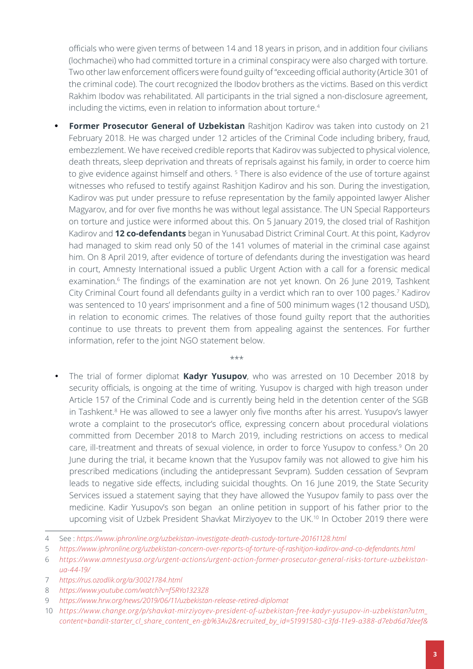officials who were given terms of between 14 and 18 years in prison, and in addition four civilians (lochmachei) who had committed torture in a criminal conspiracy were also charged with torture. Two other law enforcement officers were found guilty of "exceeding official authority (Article 301 of the criminal code). The court recognized the Ibodov brothers as the victims. Based on this verdict Rakhim Ibodov was rehabilitated. All participants in the trial signed a non-disclosure agreement, including the victims, even in relation to information about torture.<sup>4</sup>

**Former Prosecutor General of Uzbekistan** Rashitjon Kadirov was taken into custody on 21 February 2018. He was charged under 12 articles of the Criminal Code including bribery, fraud, embezzlement. We have received credible reports that Kadirov was subjected to physical violence, death threats, sleep deprivation and threats of reprisals against his family, in order to coerce him to give evidence against himself and others.<sup>5</sup> There is also evidence of the use of torture against witnesses who refused to testify against Rashitjon Kadirov and his son. During the investigation, Kadirov was put under pressure to refuse representation by the family appointed lawyer Alisher Magyarov, and for over five months he was without legal assistance. The UN Special Rapporteurs on torture and justice were informed about this. On 5 January 2019, the closed trial of Rashitjon Kadirov and **12 co-defendants** began in Yunusabad District Criminal Court. At this point, Kadyrov had managed to skim read only 50 of the 141 volumes of material in the criminal case against him. On 8 April 2019, after evidence of torture of defendants during the investigation was heard in court, Amnesty International issued a public Urgent Action with a call for a forensic medical examination.<sup>6</sup> The findings of the examination are not yet known. On 26 June 2019, Tashkent City Criminal Court found all defendants guilty in a verdict which ran to over 100 pages.<sup>7</sup> Kadirov was sentenced to 10 years' imprisonment and a fine of 500 minimum wages (12 thousand USD), in relation to economic crimes. The relatives of those found guilty report that the authorities continue to use threats to prevent them from appealing against the sentences. For further information, refer to the joint NGO statement below.

\*\*\*

• The trial of former diplomat **Kadyr Yusupov**, who was arrested on 10 December 2018 by security officials, is ongoing at the time of writing. Yusupov is charged with high treason under Article 157 of the Criminal Code and is currently being held in the detention center of the SGB in Tashkent.<sup>8</sup> He was allowed to see a lawyer only five months after his arrest. Yusupov's lawyer wrote a complaint to the prosecutor's office, expressing concern about procedural violations committed from December 2018 to March 2019, including restrictions on access to medical care, ill-treatment and threats of sexual violence, in order to force Yusupov to confess.<sup>9</sup> On 20 June during the trial, it became known that the Yusupov family was not allowed to give him his prescribed medications (including the antidepressant Sevpram). Sudden cessation of Sevpram leads to negative side effects, including suicidal thoughts. On 16 June 2019, the State Security Services issued a statement saying that they have allowed the Yusupov family to pass over the medicine. Kadir Yusupov's son began an online petition in support of his father prior to the upcoming visit of Uzbek President Shavkat Mirziyoyev to the UK.<sup>10</sup> In October 2019 there were

<sup>4</sup> See : *https://www.iphronline.org/uzbekistan-investigate-death-custody-torture-20161128.html*

<sup>5</sup> *<https://www.iphronline.org/uzbekistan-concern-over-reports-of-torture-of-rashitjon-kadirov-and-co-defendants.html>*

<sup>6</sup> *[https://www.amnestyusa.org/urgent-actions/urgent-action-former-prosecutor-general-risks-torture-uzbekistan](https://www.amnestyusa.org/urgent-actions/urgent-action-former-prosecutor-general-risks-torture-uzbekistan-ua-44-19/)[ua-44-19/](https://www.amnestyusa.org/urgent-actions/urgent-action-former-prosecutor-general-risks-torture-uzbekistan-ua-44-19/)* 

<sup>7</sup> *<https://rus.ozodlik.org/a/30021784.html>*

<sup>8</sup> *<https://www.youtube.com/watch?v=f5RYo1323Z8>*

<sup>9</sup> *<https://www.hrw.org/news/2019/06/11/uzbekistan-release-retired-diplomat>* 

<sup>10</sup> *[https://www.change.org/p/shavkat-mirziyoyev-president-of-uzbekistan-free-kadyr-yusupov-in-uzbekistan?utm\\_](https://www.change.org/p/shavkat-mirziyoyev-president-of-uzbekistan-free-kadyr-yusupov-in-uzbekistan?utm_content=bandit-starter_cl_share_content_en-gb%3Av2&recruited_by_id=51991580-c3fd-11e9-a388-d7ebd6d7deef&recruiter=996054583&utm_source=share_petition&utm_medium=copylink&utm_campaign=share_petition&utm_term=share_for_starters_p1_view&use_react=false) [content=bandit-starter\\_cl\\_share\\_content\\_en-gb%3Av2&recruited\\_by\\_id=51991580-c3fd-11e9-a388-d7ebd6d7deef&](https://www.change.org/p/shavkat-mirziyoyev-president-of-uzbekistan-free-kadyr-yusupov-in-uzbekistan?utm_content=bandit-starter_cl_share_content_en-gb%3Av2&recruited_by_id=51991580-c3fd-11e9-a388-d7ebd6d7deef&recruiter=996054583&utm_source=share_petition&utm_medium=copylink&utm_campaign=share_petition&utm_term=share_for_starters_p1_view&use_react=false)*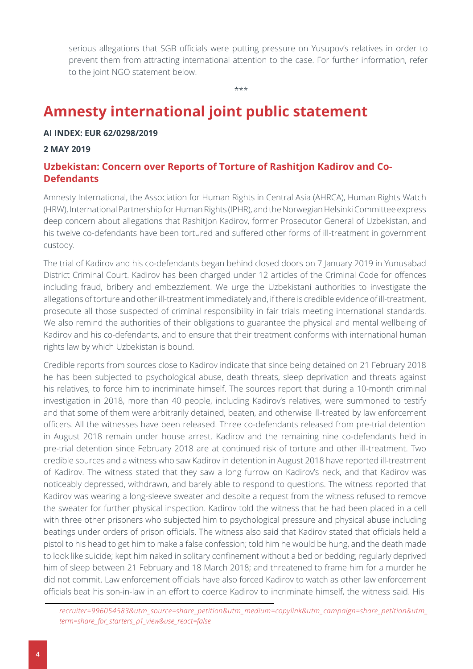serious allegations that SGB officials were putting pressure on Yusupov's relatives in order to prevent them from attracting international attention to the case. For further information, refer to the joint NGO statement below.

\*\*\*

# **Amnesty international joint public statement**

## **AI INDEX: EUR 62/0298/2019**

#### **2 MAY 2019**

## **Uzbekistan: Concern over Reports of Torture of Rashitjon Kadirov and Co-Defendants**

Amnesty International, the Association for Human Rights in Central Asia (AHRCA), Human Rights Watch (HRW), International Partnership for Human Rights (IPHR), and the Norwegian Helsinki Committee express deep concern about allegations that Rashitjon Kadirov, former Prosecutor General of Uzbekistan, and his twelve co-defendants have been tortured and suffered other forms of ill-treatment in government custody.

The trial of Kadirov and his co-defendants began behind closed doors on 7 January 2019 in Yunusabad District Criminal Court. Kadirov has been charged under 12 articles of the Criminal Code for offences including fraud, bribery and embezzlement. We urge the Uzbekistani authorities to investigate the allegations of torture and other ill-treatment immediately and, if there is credible evidence of ill-treatment, prosecute all those suspected of criminal responsibility in fair trials meeting international standards. We also remind the authorities of their obligations to guarantee the physical and mental wellbeing of Kadirov and his co-defendants, and to ensure that their treatment conforms with international human rights law by which Uzbekistan is bound.

Credible reports from sources close to Kadirov indicate that since being detained on 21 February 2018 he has been subjected to psychological abuse, death threats, sleep deprivation and threats against his relatives, to force him to incriminate himself. The sources report that during a 10-month criminal investigation in 2018, more than 40 people, including Kadirov's relatives, were summoned to testify and that some of them were arbitrarily detained, beaten, and otherwise ill-treated by law enforcement officers. All the witnesses have been released. Three co-defendants released from pre-trial detention in August 2018 remain under house arrest. Kadirov and the remaining nine co-defendants held in pre-trial detention since February 2018 are at continued risk of torture and other ill-treatment. Two credible sources and a witness who saw Kadirov in detention in August 2018 have reported ill-treatment of Kadirov. The witness stated that they saw a long furrow on Kadirov's neck, and that Kadirov was noticeably depressed, withdrawn, and barely able to respond to questions. The witness reported that Kadirov was wearing a long-sleeve sweater and despite a request from the witness refused to remove the sweater for further physical inspection. Kadirov told the witness that he had been placed in a cell with three other prisoners who subjected him to psychological pressure and physical abuse including beatings under orders of prison officials. The witness also said that Kadirov stated that officials held a pistol to his head to get him to make a false confession; told him he would be hung, and the death made to look like suicide; kept him naked in solitary confinement without a bed or bedding; regularly deprived him of sleep between 21 February and 18 March 2018; and threatened to frame him for a murder he did not commit. Law enforcement officials have also forced Kadirov to watch as other law enforcement officials beat his son-in-law in an effort to coerce Kadirov to incriminate himself, the witness said. His

*[recruiter=996054583&utm\\_source=share\\_petition&utm\\_medium=copylink&utm\\_campaign=share\\_petition&utm\\_](https://www.change.org/p/shavkat-mirziyoyev-president-of-uzbekistan-free-kadyr-yusupov-in-uzbekistan?utm_content=bandit-starter_cl_share_content_en-gb%3Av2&recruited_by_id=51991580-c3fd-11e9-a388-d7ebd6d7deef&recruiter=996054583&utm_source=share_petition&utm_medium=copylink&utm_campaign=share_petition&utm_term=share_for_starters_p1_view&use_react=false) [term=share\\_for\\_starters\\_p1\\_view&use\\_react=false](https://www.change.org/p/shavkat-mirziyoyev-president-of-uzbekistan-free-kadyr-yusupov-in-uzbekistan?utm_content=bandit-starter_cl_share_content_en-gb%3Av2&recruited_by_id=51991580-c3fd-11e9-a388-d7ebd6d7deef&recruiter=996054583&utm_source=share_petition&utm_medium=copylink&utm_campaign=share_petition&utm_term=share_for_starters_p1_view&use_react=false)*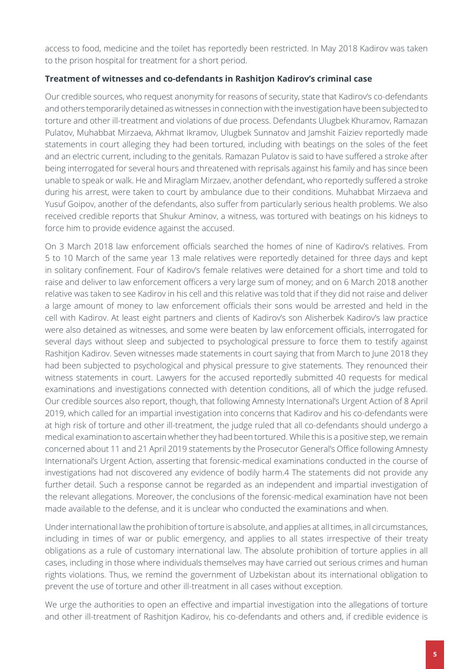access to food, medicine and the toilet has reportedly been restricted. In May 2018 Kadirov was taken to the prison hospital for treatment for a short period.

## **Treatment of witnesses and co-defendants in Rashitjon Kadirov's criminal case**

Our credible sources, who request anonymity for reasons of security, state that Kadirov's co-defendants and others temporarily detained as witnesses in connection with the investigation have been subjected to torture and other ill-treatment and violations of due process. Defendants Ulugbek Khuramov, Ramazan Pulatov, Muhabbat Mirzaeva, Akhmat Ikramov, Ulugbek Sunnatov and Jamshit Faiziev reportedly made statements in court alleging they had been tortured, including with beatings on the soles of the feet and an electric current, including to the genitals. Ramazan Pulatov is said to have suffered a stroke after being interrogated for several hours and threatened with reprisals against his family and has since been unable to speak or walk. He and Miraglam Mirzaev, another defendant, who reportedly suffered a stroke during his arrest, were taken to court by ambulance due to their conditions. Muhabbat Mirzaeva and Yusuf Goipov, another of the defendants, also suffer from particularly serious health problems. We also received credible reports that Shukur Aminov, a witness, was tortured with beatings on his kidneys to force him to provide evidence against the accused.

On 3 March 2018 law enforcement officials searched the homes of nine of Kadirov's relatives. From 5 to 10 March of the same year 13 male relatives were reportedly detained for three days and kept in solitary confinement. Four of Kadirov's female relatives were detained for a short time and told to raise and deliver to law enforcement officers a very large sum of money; and on 6 March 2018 another relative was taken to see Kadirov in his cell and this relative was told that if they did not raise and deliver a large amount of money to law enforcement officials their sons would be arrested and held in the cell with Kadirov. At least eight partners and clients of Kadirov's son Alisherbek Kadirov's law practice were also detained as witnesses, and some were beaten by law enforcement officials, interrogated for several days without sleep and subjected to psychological pressure to force them to testify against Rashitjon Kadirov. Seven witnesses made statements in court saying that from March to June 2018 they had been subjected to psychological and physical pressure to give statements. They renounced their witness statements in court. Lawyers for the accused reportedly submitted 40 requests for medical examinations and investigations connected with detention conditions, all of which the judge refused. Our credible sources also report, though, that following Amnesty International's Urgent Action of 8 April 2019, which called for an impartial investigation into concerns that Kadirov and his co-defendants were at high risk of torture and other ill-treatment, the judge ruled that all co-defendants should undergo a medical examination to ascertain whether they had been tortured. While this is a positive step, we remain concerned about 11 and 21 April 2019 statements by the Prosecutor General's Office following Amnesty International's Urgent Action, asserting that forensic-medical examinations conducted in the course of investigations had not discovered any evidence of bodily harm.4 The statements did not provide any further detail. Such a response cannot be regarded as an independent and impartial investigation of the relevant allegations. Moreover, the conclusions of the forensic-medical examination have not been made available to the defense, and it is unclear who conducted the examinations and when.

Under international law the prohibition of torture is absolute, and applies at all times, in all circumstances, including in times of war or public emergency, and applies to all states irrespective of their treaty obligations as a rule of customary international law. The absolute prohibition of torture applies in all cases, including in those where individuals themselves may have carried out serious crimes and human rights violations. Thus, we remind the government of Uzbekistan about its international obligation to prevent the use of torture and other ill-treatment in all cases without exception.

We urge the authorities to open an effective and impartial investigation into the allegations of torture and other ill-treatment of Rashitjon Kadirov, his co-defendants and others and, if credible evidence is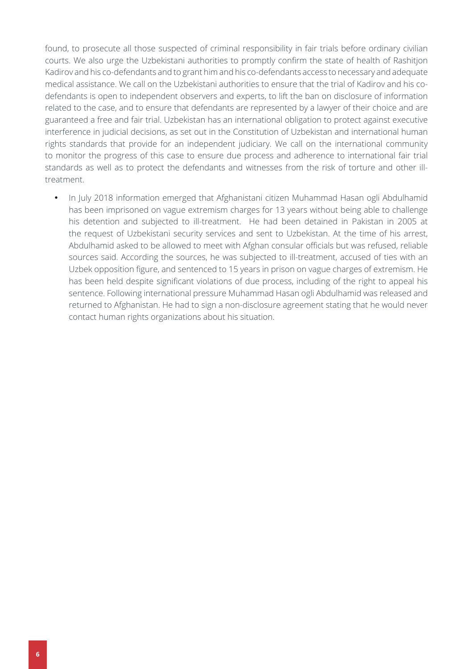found, to prosecute all those suspected of criminal responsibility in fair trials before ordinary civilian courts. We also urge the Uzbekistani authorities to promptly confirm the state of health of Rashitjon Kadirov and his co-defendants and to grant him and his co-defendants access to necessary and adequate medical assistance. We call on the Uzbekistani authorities to ensure that the trial of Kadirov and his codefendants is open to independent observers and experts, to lift the ban on disclosure of information related to the case, and to ensure that defendants are represented by a lawyer of their choice and are guaranteed a free and fair trial. Uzbekistan has an international obligation to protect against executive interference in judicial decisions, as set out in the Constitution of Uzbekistan and international human rights standards that provide for an independent judiciary. We call on the international community to monitor the progress of this case to ensure due process and adherence to international fair trial standards as well as to protect the defendants and witnesses from the risk of torture and other illtreatment.

• In July 2018 information emerged that Afghanistani citizen Muhammad Hasan ogli Abdulhamid has been imprisoned on vague extremism charges for 13 years without being able to challenge his detention and subjected to ill-treatment. He had been detained in Pakistan in 2005 at the request of Uzbekistani security services and sent to Uzbekistan. At the time of his arrest, Abdulhamid asked to be allowed to meet with Afghan consular officials but was refused, reliable sources said. According the sources, he was subjected to ill-treatment, accused of ties with an Uzbek opposition figure, and sentenced to 15 years in prison on vague charges of extremism. He has been held despite significant violations of due process, including of the right to appeal his sentence. Following international pressure Muhammad Hasan ogli Abdulhamid was released and returned to Afghanistan. He had to sign a non-disclosure agreement stating that he would never contact human rights organizations about his situation.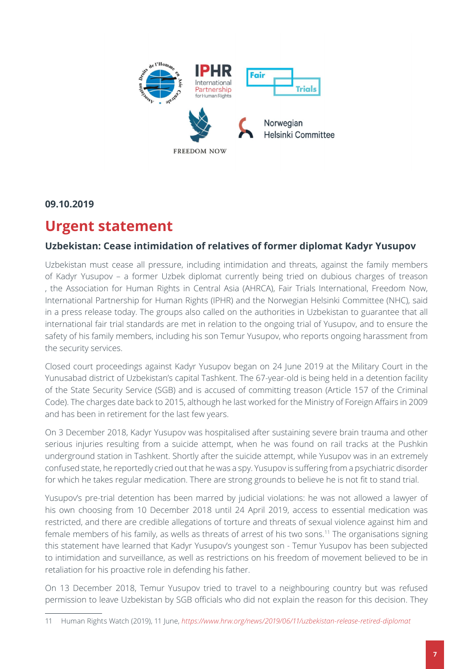

**09.10.2019**

# **Urgent statement**

## **Uzbekistan: Cease intimidation of relatives of former diplomat Kadyr Yusupov**

Uzbekistan must cease all pressure, including intimidation and threats, against the family members of Kadyr Yusupov – a former Uzbek diplomat currently being tried on dubious charges of treason , the Association for Human Rights in Central Asia (AHRCA), Fair Trials International, Freedom Now, International Partnership for Human Rights (IPHR) and the Norwegian Helsinki Committee (NHC), said in a press release today. The groups also called on the authorities in Uzbekistan to guarantee that all international fair trial standards are met in relation to the ongoing trial of Yusupov, and to ensure the safety of his family members, including his son Temur Yusupov, who reports ongoing harassment from the security services.

Closed court proceedings against Kadyr Yusupov began on 24 June 2019 at the Military Court in the Yunusabad district of Uzbekistan's capital Tashkent. The 67-year-old is being held in a detention facility of the State Security Service (SGB) and is accused of committing treason (Article 157 of the Criminal Code). The charges date back to 2015, although he last worked for the Ministry of Foreign Affairs in 2009 and has been in retirement for the last few years.

On 3 December 2018, Kadyr Yusupov was hospitalised after sustaining severe brain trauma and other serious injuries resulting from a suicide attempt, when he was found on rail tracks at the Pushkin underground station in Tashkent. Shortly after the suicide attempt, while Yusupov was in an extremely confused state, he reportedly cried out that he was a spy. Yusupov is suffering from a psychiatric disorder for which he takes regular medication. There are strong grounds to believe he is not fit to stand trial.

Yusupov's pre-trial detention has been marred by judicial violations: he was not allowed a lawyer of his own choosing from 10 December 2018 until 24 April 2019, access to essential medication was restricted, and there are credible [allegations](https://www.hrw.org/news/2019/06/11/uzbekistan-release-retired-diplomat) of torture and threats of sexual violence against him and female members of his family, as wells as threats of arrest of his two sons.<sup>11</sup> The organisations signing this statement have learned that Kadyr Yusupov's youngest son - Temur Yusupov has been subjected to intimidation and surveillance, as well as restrictions on his freedom of movement believed to be in retaliation for his proactive role in defending his father.

On 13 December 2018, Temur Yusupov tried to travel to a neighbouring country but was refused permission to leave Uzbekistan by SGB officials who did not explain the reason for this decision. They

<sup>11</sup> Human Rights Watch (2019), 11 June, *<https://www.hrw.org/news/2019/06/11/uzbekistan-release-retired-diplomat>*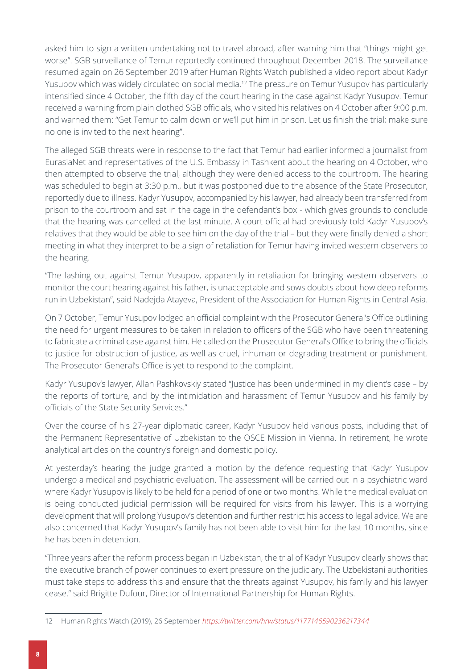asked him to sign a written undertaking not to travel abroad, after warning him that "things might get worse". SGB surveillance of Temur reportedly continued throughout December 2018. The surveillance resumed again on 26 September 2019 after Human Rights Watch published a video [report](https://twitter.com/hrw/status/1177146590236217344) about Kadyr Yusupov which was widely circulated on social media.12 The pressure on Temur Yusupov has particularly intensified since 4 October, the fifth day of the court hearing in the case against Kadyr Yusupov. Temur received a warning from plain clothed SGB officials, who visited his relatives on 4 October after 9:00 p.m. and warned them: "Get Temur to calm down or we'll put him in prison. Let us finish the trial; make sure no one is invited to the next hearing".

The alleged SGB threats were in response to the fact that Temur had earlier informed a journalist from EurasiaNet and representatives of the U.S. Embassy in Tashkent about the hearing on 4 October, who then attempted to observe the trial, although they were denied access to the courtroom. The hearing was scheduled to begin at 3:30 p.m., but it was postponed due to the absence of the State Prosecutor, reportedly due to illness. Kadyr Yusupov, accompanied by his lawyer, had already been transferred from prison to the courtroom and sat in the cage in the defendant's box - which gives grounds to conclude that the hearing was cancelled at the last minute. A court official had previously told Kadyr Yusupov's relatives that they would be able to see him on the day of the trial – but they were finally denied a short meeting in what they interpret to be a sign of retaliation for Temur having invited western observers to the hearing.

"The lashing out against Temur Yusupov, apparently in retaliation for bringing western observers to monitor the court hearing against his father, is unacceptable and sows doubts about how deep reforms run in Uzbekistan", said Nadejda Atayeva, President of the Association for Human Rights in Central Asia.

On 7 October, Temur Yusupov lodged an official complaint with the Prosecutor General's Office outlining the need for urgent measures to be taken in relation to officers of the SGB who have been threatening to fabricate a criminal case against him. He called on the Prosecutor General's Office to bring the officials to justice for obstruction of justice, as well as cruel, inhuman or degrading treatment or punishment. The Prosecutor General's Office is yet to respond to the complaint.

Kadyr Yusupov's lawyer, Allan Pashkovskiy stated "Justice has been undermined in my client's case – by the reports of torture, and by the intimidation and harassment of Temur Yusupov and his family by officials of the State Security Services."

Over the course of his 27-year diplomatic career, Kadyr Yusupov held various posts, including that of the Permanent Representative of Uzbekistan to the OSCE Mission in Vienna. In retirement, he wrote analytical articles on the country's foreign and domestic policy.

At yesterday's hearing the judge granted a motion by the defence requesting that Kadyr Yusupov undergo a medical and psychiatric evaluation. The assessment will be carried out in a psychiatric ward where Kadyr Yusupov is likely to be held for a period of one or two months. While the medical evaluation is being conducted judicial permission will be required for visits from his lawyer. This is a worrying development that will prolong Yusupov's detention and further restrict his access to legal advice. We are also concerned that Kadyr Yusupov's family has not been able to visit him for the last 10 months, since he has been in detention.

"Three years after the reform process began in Uzbekistan, the trial of Kadyr Yusupov clearly shows that the executive branch of power continues to exert pressure on the judiciary. The Uzbekistani authorities must take steps to address this and ensure that the threats against Yusupov, his family and his lawyer cease." said Brigitte Dufour, Director of International Partnership for Human Rights.

<sup>12</sup> Human Rights Watch (2019), 26 September *<https://twitter.com/hrw/status/1177146590236217344>*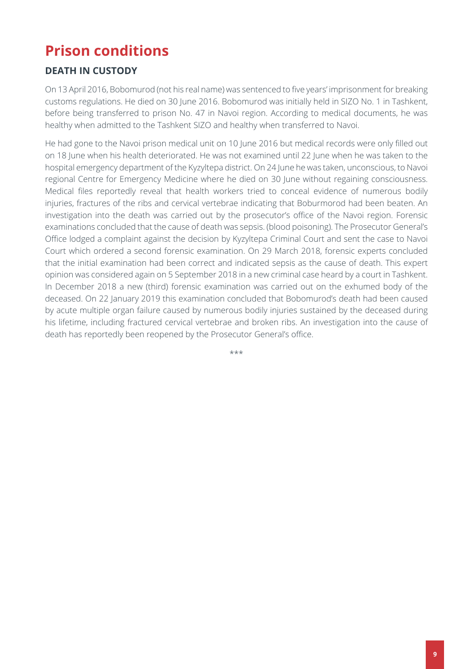# **Prison conditions**

# **DEATH IN CUSTODY**

On 13 April 2016, Bobomurod (not his real name) was sentenced to five years' imprisonment for breaking customs regulations. He died on 30 June 2016. Bobomurod was initially held in SIZO No. 1 in Tashkent, before being transferred to prison No. 47 in Navoi region. According to medical documents, he was healthy when admitted to the Tashkent SIZO and healthy when transferred to Navoi.

He had gone to the Navoi prison medical unit on 10 June 2016 but medical records were only filled out on 18 June when his health deteriorated. He was not examined until 22 June when he was taken to the hospital emergency department of the Kyzyltepa district. On 24 June he was taken, unconscious, to Navoi regional Centre for Emergency Medicine where he died on 30 June without regaining consciousness. Medical files reportedly reveal that health workers tried to conceal evidence of numerous bodily injuries, fractures of the ribs and cervical vertebrae indicating that Boburmorod had been beaten. An investigation into the death was carried out by the prosecutor's office of the Navoi region. Forensic examinations concluded that the cause of death was sepsis. (blood poisoning). The Prosecutor General's Office lodged a complaint against the decision by Kyzyltepa Criminal Court and sent the case to Navoi Court which ordered a second forensic examination. On 29 March 2018, forensic experts concluded that the initial examination had been correct and indicated sepsis as the cause of death. This expert opinion was considered again on 5 September 2018 in a new criminal case heard by a court in Tashkent. In December 2018 a new (third) forensic examination was carried out on the exhumed body of the deceased. On 22 January 2019 this examination concluded that Bobomurod's death had been caused by acute multiple organ failure caused by numerous bodily injuries sustained by the deceased during his lifetime, including fractured cervical vertebrae and broken ribs. An investigation into the cause of death has reportedly been reopened by the Prosecutor General's office.

\*\*\*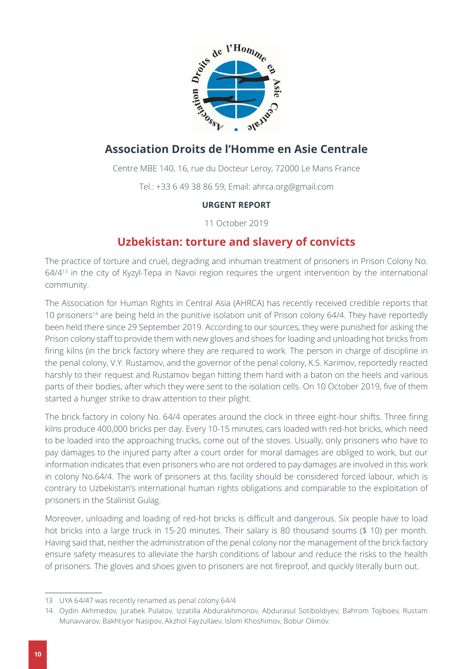

# **Association Droits de l'Homme en Asie Centrale**

Centre MBE 140, 16, rue du Docteur Leroy, 72000 Le Mans France

Tel.: +33 6 49 38 86 59; Email: [ahrca.org@gmail.com](mailto:ahrca.org@gmail.com)

## **URGENT REPORT**

11 October 2019

# **Uzbekistan: torture and slavery of convicts**

The practice of torture and cruel, degrading and inhuman treatment of prisoners in Prison Colony No. 64/4<sup>13</sup> in the city of Kyzyl-Tepa in Navoi region requires the urgent intervention by the international community.

The Association for Human Rights in Central Asia (AHRCA) has recently received credible reports that 10 prisoners<sup>14</sup> are being held in the punitive isolation unit of Prison colony 64/4. They have reportedly been held there since 29 September 2019. According to our sources, they were punished for asking the Prison colony staff to provide them with new gloves and shoes for loading and unloading hot bricks from firing kilns (in the brick factory where they are required to work. The person in charge of discipline in the penal colony, V.Y. Rustamov, and the governor of the penal colony, K.S. Karimov, reportedly reacted harshly to their request and Rustamov began hitting them hard with a baton on the heels and various parts of their bodies, after which they were sent to the isolation cells. On 10 October 2019, five of them started a hunger strike to draw attention to their plight.

The brick factory in colony No. 64/4 operates around the clock in three eight-hour shifts. Three firing kilns produce 400,000 bricks per day. Every 10-15 minutes, cars loaded with red-hot bricks, which need to be loaded into the approaching trucks, come out of the stoves. Usually, only prisoners who have to pay damages to the injured party after a court order for moral damages are obliged to work, but our information indicates that even prisoners who are not ordered to pay damages are involved in this work in colony No.64/4. The work of prisoners at this facility should be considered forced labour, which is contrary to Uzbekistan's international human rights obligations and comparable to the exploitation of prisoners in the Stalinist Gulag.

Moreover, unloading and loading of red-hot bricks is difficult and dangerous. Six people have to load hot bricks into a large truck in 15-20 minutes. Their salary is 80 thousand soums (\$ 10) per month. Having said that, neither the administration of the penal colony nor the management of the brick factory ensure safety measures to alleviate the harsh conditions of labour and reduce the risks to the health of prisoners. The gloves and shoes given to prisoners are not fireproof, and quickly literally burn out.

<sup>13</sup> UYA 64/47 was recently renamed as penal colony 64/4

<sup>14</sup> Oydin Akhmedov, Jurabek Pulatov, Izzatilla Abdurakhmonov, Abdurasul Sotiboldiyev, Bahrom Tojiboev, Rustam Munavvarov, Bakhtiyor Nasipov, Akzhol Fayzullaev, Islom Khoshimov, Bobur Olimov.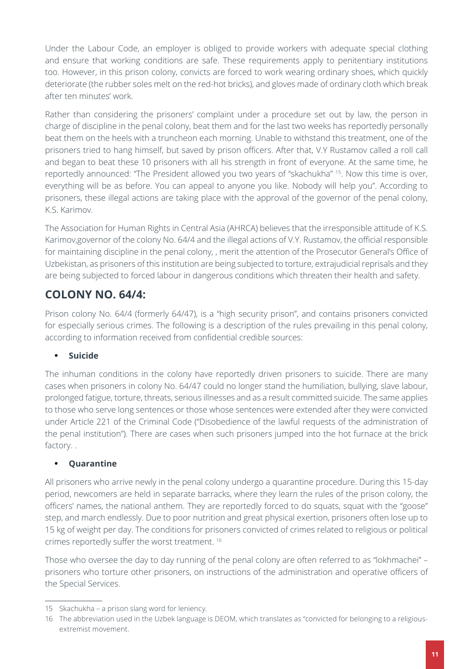Under the Labour Code, an employer is obliged to provide workers with adequate special clothing and ensure that working conditions are safe. These requirements apply to penitentiary institutions too. However, in this prison colony, convicts are forced to work wearing ordinary shoes, which quickly deteriorate (the rubber soles melt on the red-hot bricks), and gloves made of ordinary cloth which break after ten minutes' work.

Rather than considering the prisoners' complaint under a procedure set out by law, the person in charge of discipline in the penal colony, beat them and for the last two weeks has reportedly personally beat them on the heels with a truncheon each morning. Unable to withstand this treatment, one of the prisoners tried to hang himself, but saved by prison officers. After that, V.Y Rustamov called a roll call and began to beat these 10 prisoners with all his strength in front of everyone. At the same time, he reportedly announced: "The President allowed you two years of "skachukha" 15. Now this time is over, everything will be as before. You can appeal to anyone you like. Nobody will help you". According to prisoners, these illegal actions are taking place with the approval of the governor of the penal colony, K.S. Karimov.

The Association for Human Rights in Central Asia (AHRCA) believes that the irresponsible attitude of K.S. Karimov,governor of the colony No. 64/4 and the illegal actions of V.Y. Rustamov, the official responsible for maintaining discipline in the penal colony, , merit the attention of the Prosecutor General's Office of Uzbekistan, as prisoners of this institution are being subjected to torture, extrajudicial reprisals and they are being subjected to forced labour in dangerous conditions which threaten their health and safety.

# **COLONY NO. 64/4:**

Prison colony No. 64/4 (formerly 64/47), is a "high security prison", and contains prisoners convicted for especially serious crimes. The following is a description of the rules prevailing in this penal colony, according to information received from confidential credible sources:

## **• Suicide**

The inhuman conditions in the colony have reportedly driven prisoners to suicide. There are many cases when prisoners in colony No. 64/47 could no longer stand the humiliation, bullying, slave labour, prolonged fatigue, torture, threats, serious illnesses and as a result committed suicide. The same applies to those who serve long sentences or those whose sentences were extended after they were convicted under Article 221 of the Criminal Code ("Disobedience of the lawful requests of the administration of the penal institution"). There are cases when such prisoners jumped into the hot furnace at the brick factory. .

## **• Quarantine**

All prisoners who arrive newly in the penal colony undergo a quarantine procedure. During this 15-day period, newcomers are held in separate barracks, where they learn the rules of the prison colony, the officers' names, the national anthem. They are reportedly forced to do squats, squat with the "goose" step, and march endlessly. Due to poor nutrition and great physical exertion, prisoners often lose up to 15 kg of weight per day. The conditions for prisoners convicted of crimes related to religious or political crimes reportedly suffer the worst treatment. 16

Those who oversee the day to day running of the penal colony are often referred to as "lokhmachei" – prisoners who torture other prisoners, on instructions of the administration and operative officers of the Special Services.

<sup>15</sup> Skachukha – a prison slang word for leniency.

<sup>16</sup> The abbreviation used in the Uzbek language is DEOM, which translates as "convicted for belonging to a religiousextremist movement.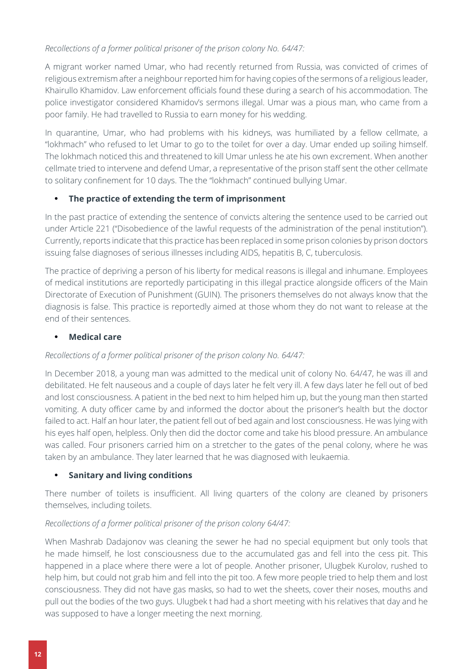## *Recollections of a former political prisoner of the prison colony No. 64/47:*

A migrant worker named Umar, who had recently returned from Russia, was convicted of crimes of religious extremism after a neighbour reported him for having copies of the sermons of a religious leader, Khairullo Khamidov. Law enforcement officials found these during a search of his accommodation. The police investigator considered Khamidov's sermons illegal. Umar was a pious man, who came from a poor family. He had travelled to Russia to earn money for his wedding.

In quarantine, Umar, who had problems with his kidneys, was humiliated by a fellow cellmate, a "lokhmach" who refused to let Umar to go to the toilet for over a day. Umar ended up soiling himself. The lokhmach noticed this and threatened to kill Umar unless he ate his own excrement. When another cellmate tried to intervene and defend Umar, a representative of the prison staff sent the other cellmate to solitary confinement for 10 days. The the "lokhmach" continued bullying Umar.

## **• The practice of extending the term of imprisonment**

In the past practice of extending the sentence of convicts altering the sentence used to be carried out under Article 221 ("Disobedience of the lawful requests of the administration of the penal institution"). Currently, reports indicate that this practice has been replaced in some prison colonies by prison doctors issuing false diagnoses of serious illnesses including AIDS, hepatitis B, C, tuberculosis.

The practice of depriving a person of his liberty for medical reasons is illegal and inhumane. Employees of medical institutions are reportedly participating in this illegal practice alongside officers of the Main Directorate of Execution of Punishment (GUIN). The prisoners themselves do not always know that the diagnosis is false. This practice is reportedly aimed at those whom they do not want to release at the end of their sentences.

## **• Medical care**

## *Recollections of a former political prisoner of the prison colony No. 64/47:*

In December 2018, a young man was admitted to the medical unit of colony No. 64/47, he was ill and debilitated. He felt nauseous and a couple of days later he felt very ill. A few days later he fell out of bed and lost consciousness. A patient in the bed next to him helped him up, but the young man then started vomiting. A duty officer came by and informed the doctor about the prisoner's health but the doctor failed to act. Half an hour later, the patient fell out of bed again and lost consciousness. He was lying with his eyes half open, helpless. Only then did the doctor come and take his blood pressure. An ambulance was called. Four prisoners carried him on a stretcher to the gates of the penal colony, where he was taken by an ambulance. They later learned that he was diagnosed with leukaemia.

### **• Sanitary and living conditions**

There number of toilets is insufficient. All living quarters of the colony are cleaned by prisoners themselves, including toilets.

### *Recollections of a former political prisoner of the prison colony 64/47:*

When Mashrab Dadajonov was cleaning the sewer he had no special equipment but only tools that he made himself, he lost consciousness due to the accumulated gas and fell into the cess pit. This happened in a place where there were a lot of people. Another prisoner, Ulugbek Kurolov, rushed to help him, but could not grab him and fell into the pit too. A few more people tried to help them and lost consciousness. They did not have gas masks, so had to wet the sheets, cover their noses, mouths and pull out the bodies of the two guys. Ulugbek t had had a short meeting with his relatives that day and he was supposed to have a longer meeting the next morning.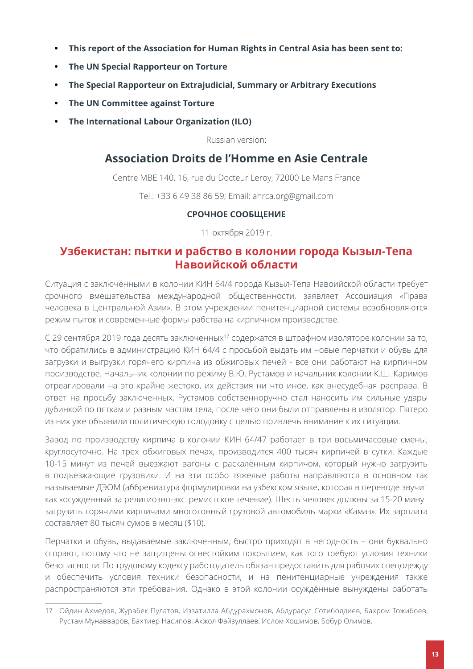- **• This report of the Association for Human Rights in Central Asia has been sent to:**
- **• The UN Special Rapporteur on Torture**
- **• The Special Rapporteur on Extrajudicial, Summary or Arbitrary Executions**
- **• The UN Committee against Torture**
- **• The International Labour Organization (ILO)**

Russian version:

# **Association Droits de l'Homme en Asie Centrale**

Centre MBE 140, 16, rue du Docteur Leroy, 72000 Le Mans France

Tel.: +33 6 49 38 86 59; Email: [ahrca.org@gmail.com](mailto:ahrca.org@gmail.com)

### **СРОЧНОЕ СООБЩЕНИЕ**

11 октября 2019 г.

## **Узбекистан: пытки и рабство в колонии города Кызыл-Тепа Навоийской области**

Ситуация с заключенными в колонии КИН 64/4 города Кызыл-Тепа Навоийской области требует срочного вмешательства международной общественности, заявляет Ассоциация «Права человека в Центральной Азии». В этом учреждении пенитенциарной системы возобновляются режим пыток и современные формы рабства на кирпичном производстве.

С 29 сентября 2019 года десять заключенных<sup>17</sup> содержатся в штрафном изоляторе колонии за то, что обратились в администрацию КИН 64/4 с просьбой выдать им новые перчатки и обувь для загрузки и выгрузки горячего кирпича из обжиговых печей - все они работают на кирпичном производстве. Начальник колонии по режиму В.Ю. Рустамов и начальник колонии К.Ш. Каримов отреагировали на это крайне жестоко, их действия ни что иное, как внесудебная расправа. В ответ на просьбу заключенных, Рустамов собственноручно стал наносить им сильные удары дубинкой по пяткам и разным частям тела, после чего они были отправлены в изолятор. Пятеро из них уже объявили политическую голодовку с целью привлечь внимание к их ситуации.

Завод по производству кирпича в колонии КИН 64/47 работает в три восьмичасовые смены, круглосуточно. На трех обжиговых печах, производится 400 тысяч кирпичей в сутки. Каждые 10-15 минут из печей выезжают вагоны с раскалённым кирпичом, который нужно загрузить в подъезжающие грузовики. И на эти особо тяжелые работы направляются в основном так называемые ДЭОМ (аббревиатура формулировки на узбекском языке, которая в переводе звучит как «осужденный за религиозно-экстремистское течение). Шесть человек должны за 15-20 минут загрузить горячими кирпичами многотонный грузовой автомобиль марки «Камаз». Их зарплата составляет 80 тысяч сумов в месяц (\$10).

Перчатки и обувь, выдаваемые заключенным, быстро приходят в негодность – они буквально сгорают, потому что не защищены огнестойким покрытием, как того требуют условия техники безопасности. По трудовому кодексу работодатель обязан предоставить для рабочих спецодежду и обеспечить условия техники безопасности, и на пенитенциарные учреждения также распространяются эти требования. Однако в этой колонии осуждённые вынуждены работать

<sup>17</sup> Ойдин Ахмедов, Журабек Пулатов, Иззатилла Абдурахмонов, Абдурасул Сотиболдиев, Бахром Тожибоев, Рустам Мунавваров, Бахтиер Насипов, Акжол Файзуллаев, Ислом Хошимов, Бобур Олимов.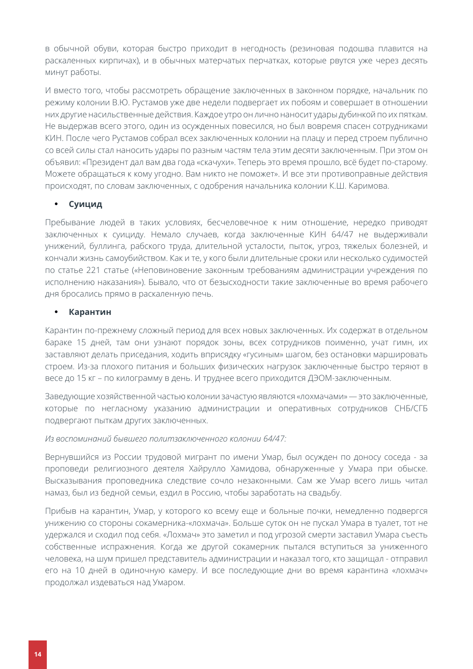в обычной обуви, которая быстро приходит в негодность (резиновая подошва плавится на раскаленных кирпичах), и в обычных матерчатых перчатках, которые рвутся уже через десять минут работы.

И вместо того, чтобы рассмотреть обращение заключенных в законном порядке, начальник по режиму колонии В.Ю. Рустамов уже две недели подвергает их побоям и совершает в отношении них другие насильственные действия. Каждое утро он лично наносит удары дубинкой по их пяткам. Не выдержав всего этого, один из осужденных повесился, но был вовремя спасен сотрудниками КИН. После чего Рустамов собрал всех заключенных колонии на плацу и перед строем публично со всей силы стал наносить удары по разным частям тела этим десяти заключенным. При этом он объявил: «Президент дал вам два года «скачухи». Теперь это время прошло, всё будет по-старому. Можете обращаться к кому угодно. Вам никто не поможет». И все эти противоправные действия происходят, по словам заключенных, с одобрения начальника колонии К.Ш. Каримова.

### **• Суицид**

Пребывание людей в таких условиях, бесчеловечное к ним отношение, нередко приводят заключенных к суициду. Немало случаев, когда заключенные КИН 64/47 не выдерживали унижений, буллинга, рабского труда, длительной усталости, пыток, угроз, тяжелых болезней, и кончали жизнь самоубийством. Как и те, у кого были длительные сроки или несколько судимостей по статье 221 статье («Неповиновение законным требованиям администрации учреждения по исполнению наказания»). Бывало, что от безысходности такие заключенные во время рабочего дня бросались прямо в раскаленную печь.

#### **• Карантин**

Карантин по-прежнему сложный период для всех новых заключенных. Их содержат в отдельном бараке 15 дней, там они узнают порядок зоны, всех сотрудников поименно, учат гимн, их заставляют делать приседания, ходить вприсядку «гусиным» шагом, без остановки маршировать строем. Из-за плохого питания и больших физических нагрузок заключенные быстро теряют в весе до 15 кг – по килограмму в день. И труднее всего приходится ДЭОМ-заключенным.

Заведующие хозяйственной частью колонии зачастую являются «лохмачами» — это заключенные, которые по негласному указанию администрации и оперативных сотрудников СНБ/СГБ подвергают пыткам других заключенных.

#### *Из воспоминаний бывшего политзаключенного колонии 64/47:*

Вернувшийся из России трудовой мигрант по имени Умар, был осужден по доносу соседа - за проповеди религиозного деятеля Хайрулло Хамидова, обнаруженные у Умара при обыске. Высказывания проповедника следствие сочло незаконными. Сам же Умар всего лишь читал намаз, был из бедной семьи, ездил в Россию, чтобы заработать на свадьбу.

Прибыв на карантин, Умар, у которого ко всему еще и больные почки, немедленно подвергся унижению со стороны сокамерника-«лохмача». Больше суток он не пускал Умара в туалет, тот не удержался и сходил под себя. «Лохмач» это заметил и под угрозой смерти заставил Умара съесть собственные испражнения. Когда же другой сокамерник пытался вступиться за униженного человека, на шум пришел представитель администрации и наказал того, кто защищал - отправил его на 10 дней в одиночную камеру. И все последующие дни во время карантина «лохмач» продолжал издеваться над Умаром.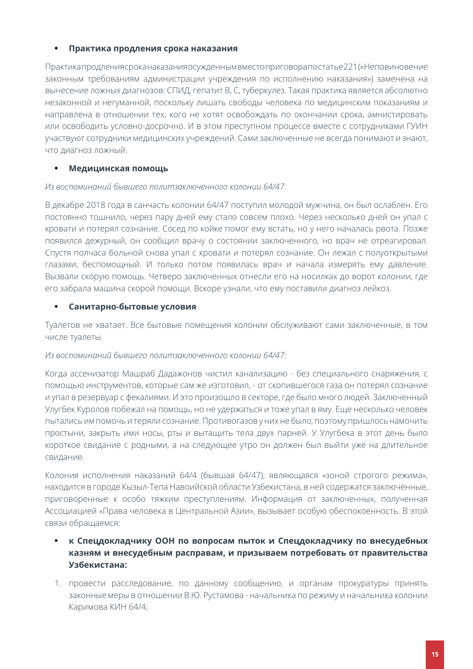#### **• Практика продления срока наказания**

Практика продления срока наказания осужденным вместо приговора по статье 221 («Неповиновение законным требованиям администрации учреждения по исполнению наказания») заменена на вынесение ложных диагнозов: СПИД, гепатит В, С, туберкулез. Такая практика является абсолютно незаконной и негуманной, поскольку лишать свободы человека по медицинским показаниям и направлена в отношении тех, кого не хотят освобождать по окончании срока, амнистировать или освободить условно-досрочно. И в этом преступном процессе вместе с сотрудниками ГУИН участвуют сотрудники медицинских учреждений. Сами заключенные не всегда понимают и знают, что диагноз ложный.

### **• Медицинская помощь**

#### *Из воспоминаний бывшего политзаключенного колонии 64/47:*

В декабре 2018 года в санчасть колонии 64/47 поступил молодой мужчина, он был ослаблен. Его постоянно тошнило, через пару дней ему стало совсем плохо. Через несколько дней он упал с кровати и потерял сознание. Сосед по койке помог ему встать, но у него началась рвота. Позже появился дежурный, он сообщил врачу о состоянии заключенного, но врач не отреагировал. Спустя полчаса больной снова упал с кровати и потерял сознание. Он лежал с полуоткрытыми глазами, беспомощный. И только потом появилась врач и начала измерять ему давление. Вызвали скорую помощь. Четверо заключенных отнесли его на носилках до ворот колонии, где его забрала машина скорой помощи. Вскоре узнали, что ему поставили диагноз лейкоз.

#### **• Санитарно-бытовые условия**

Туалетов не хватает. Все бытовые помещения колонии обслуживают сами заключенные, в том числе туалеты.

#### *Из воспоминаний бывшего политзаключенного колонии 64/47:*

Когда ассенизатор Машраб Дадажонов чистил канализацию - без специального снаряжения, с помощью инструментов, которые сам же изготовил, - от скопившегося газа он потерял сознание и упал в резервуар с фекалиями. И это произошло в секторе, где было много людей. Заключенный Улугбек Куролов побежал на помощь, но не удержаться и тоже упал в яму. Еще несколько человек пытались им помочь и теряли сознание. Противогазов у них не было, поэтому пришлось намочить простыни, закрыть ими носы, рты и вытащить тела двух парней. У Улугбека в этот день было короткое свидание с родными, а на следующее утро он должен был выйти уже на длительное свидание.

Колония исполнения наказаний 64/4 (бывшая 64/47), являющаяся «зоной строгого режима», находится в городе Кызыл-Тепа Навоийской области Узбекистана, в ней содержатся заключенные, приговоренные к особо тяжким преступлениям. Информация от заключенных, полученная Ассоциацией «Права человека в Центральной Азии», вызывает особую обеспокоенность. В этой связи обращаемся:

## **• к Спецдокладчику ООН по вопросам пыток и Спецдокладчику по внесудебных казням и внесудебным расправам, и призываем потребовать от правительства Узбекистана:**

1. провести расследование, по данному сообщению, и органам прокуратуры принять законные меры в отношении В.Ю. Рустамова - начальника по режиму и начальника колонии Каримова КИН 64/4;